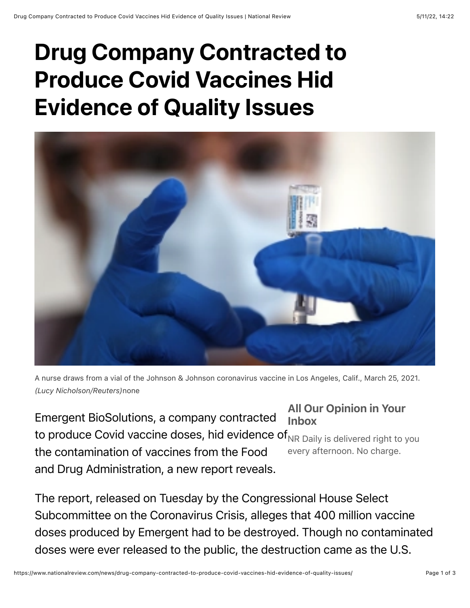## Drug Company Contracted to Produce Covid Vaccines Hid Evidence of Quality Issues



A nurse draws from a vial of the Johnson & Johnson coronavirus vaccine in Los Angeles, Calif., March 25, 2021. *(Lucy Nicholson/Reuters)*none

All Our Opinion in Your Inbox to produce Covid vaccine doses, hid evidence of $_{\sf NR}$  <sub>Daily</sub> is delivered right to you every afternoon. No charge. Emergent BioSolutions, a company contracted the contamination of vaccines from the Food and Drug Administration, a new report reveals.

The report, released on Tuesday by the Congressional House Select Subcommittee on the Coronavirus Crisis, alleges that 400 million vaccine doses produced by Emergent had to be destroyed. Though no contaminated doses were ever released to the public, the destruction came as the U.S.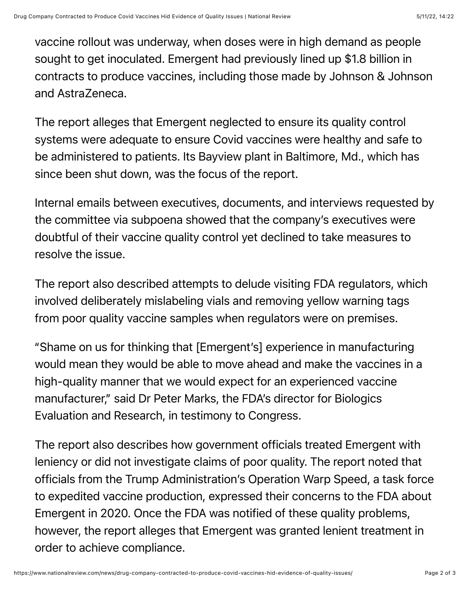vaccine rollout was underway, when doses were in high demand as people sought to get inoculated. Emergent had previously lined up \$1.8 billion in contracts to produce vaccines, including those made by Johnson & Johnson and AstraZeneca.

The report alleges that Emergent neglected to ensure its quality control systems were adequate to ensure Covid vaccines were healthy and safe to be administered to patients. Its Bayview plant in Baltimore, Md., which has since been shut down, was the focus of the report.

Internal emails between executives, documents, and interviews requested by the committee via subpoena showed that the company's executives were doubtful of their vaccine quality control yet declined to take measures to resolve the issue.

The report also described attempts to delude visiting FDA regulators, which involved deliberately mislabeling vials and removing yellow warning tags from poor quality vaccine samples when regulators were on premises.

"Shame on us for thinking that [Emergent's] experience in manufacturing would mean they would be able to move ahead and make the vaccines in a high-quality manner that we would expect for an experienced vaccine manufacturer," said Dr Peter Marks, the FDA's director for Biologics Evaluation and Research, in testimony to Congress.

The report also describes how government officials treated Emergent with leniency or did not investigate claims of poor quality. The report noted that officials from the Trump Administration's Operation Warp Speed, a task force to expedited vaccine production, expressed their concerns to the FDA about Emergent in 2020. Once the FDA was notified of these quality problems, however, the report alleges that Emergent was granted lenient treatment in order to achieve compliance.